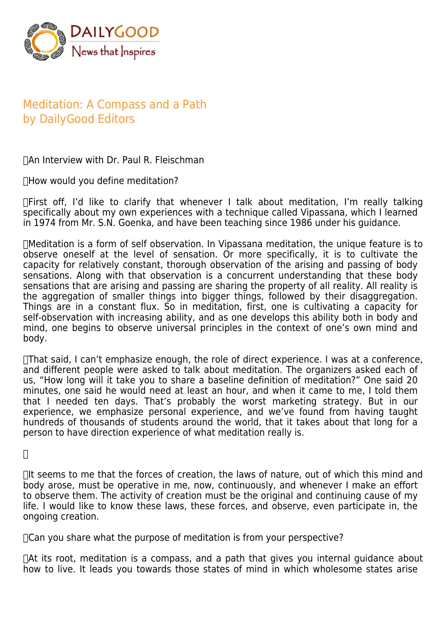

## Meditation: A Compass and a Path by DailyGood Editors

 An Interview with Dr. Paul R. Fleischman

 $\Box$  How would you define meditation?

 First off, I'd like to clarify that whenever I talk about meditation, I'm really talking specifically about my own experiences with a technique called Vipassana, which I learned in 1974 from Mr. S.N. Goenka, and have been teaching since 1986 under his guidance.

 Meditation is a form of self observation. In Vipassana meditation, the unique feature is to observe oneself at the level of sensation. Or more specifically, it is to cultivate the capacity for relatively constant, thorough observation of the arising and passing of body sensations. Along with that observation is a concurrent understanding that these body sensations that are arising and passing are sharing the property of all reality. All reality is the aggregation of smaller things into bigger things, followed by their disaggregation. Things are in a constant flux. So in meditation, first, one is cultivating a capacity for self-observation with increasing ability, and as one develops this ability both in body and mind, one begins to observe universal principles in the context of one's own mind and body.

 $\Box$ That said, I can't emphasize enough, the role of direct experience. I was at a conference, and different people were asked to talk about meditation. The organizers asked each of us, "How long will it take you to share a baseline definition of meditation?" One said 20 minutes, one said he would need at least an hour, and when it came to me, I told them that I needed ten days. That's probably the worst marketing strategy. But in our experience, we emphasize personal experience, and we've found from having taught hundreds of thousands of students around the world, that it takes about that long for a person to have direction experience of what meditation really is.

 $\Box$ 

 $\Box$ It seems to me that the forces of creation, the laws of nature, out of which this mind and body arose, must be operative in me, now, continuously, and whenever I make an effort to observe them. The activity of creation must be the original and continuing cause of my life. I would like to know these laws, these forces, and observe, even participate in, the ongoing creation.

 Can you share what the purpose of meditation is from your perspective?

 At its root, meditation is a compass, and a path that gives you internal guidance about how to live. It leads you towards those states of mind in which wholesome states arise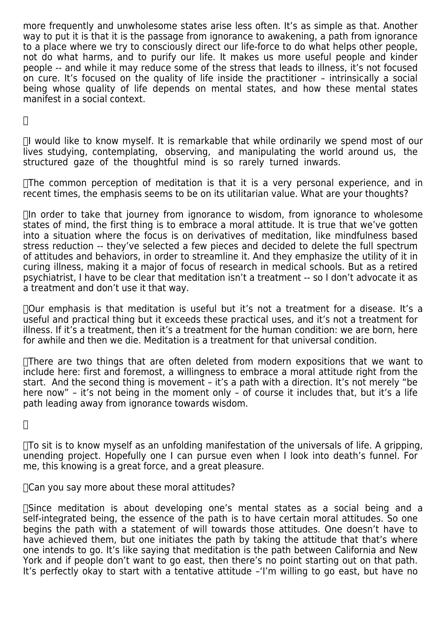more frequently and unwholesome states arise less often. It's as simple as that. Another way to put it is that it is the passage from ignorance to awakening, a path from ignorance to a place where we try to consciously direct our life-force to do what helps other people, not do what harms, and to purify our life. It makes us more useful people and kinder people -- and while it may reduce some of the stress that leads to illness, it's not focused on cure. It's focused on the quality of life inside the practitioner – intrinsically a social being whose quality of life depends on mental states, and how these mental states manifest in a social context.

 $\Box$ 

 $\Box$  would like to know myself. It is remarkable that while ordinarily we spend most of our lives studying, contemplating, observing, and manipulating the world around us, the structured gaze of the thoughtful mind is so rarely turned inwards.

The common perception of meditation is that it is a very personal experience, and in recent times, the emphasis seems to be on its utilitarian value. What are your thoughts?

 $\Box$ In order to take that journey from ignorance to wisdom, from ignorance to wholesome states of mind, the first thing is to embrace a moral attitude. It is true that we've gotten into a situation where the focus is on derivatives of meditation, like mindfulness based stress reduction -- they've selected a few pieces and decided to delete the full spectrum of attitudes and behaviors, in order to streamline it. And they emphasize the utility of it in curing illness, making it a major of focus of research in medical schools. But as a retired psychiatrist, I have to be clear that meditation isn't a treatment -- so I don't advocate it as a treatment and don't use it that way.

 Our emphasis is that meditation is useful but it's not a treatment for a disease. It's a useful and practical thing but it exceeds these practical uses, and it's not a treatment for illness. If it's a treatment, then it's a treatment for the human condition: we are born, here for awhile and then we die. Meditation is a treatment for that universal condition.

 There are two things that are often deleted from modern expositions that we want to include here: first and foremost, a willingness to embrace a moral attitude right from the start. And the second thing is movement – it's a path with a direction. It's not merely "be here now" - it's not being in the moment only - of course it includes that, but it's a life path leading away from ignorance towards wisdom.

 $\Box$ 

 $\Pi$  o sit is to know myself as an unfolding manifestation of the universals of life. A gripping, unending project. Hopefully one I can pursue even when I look into death's funnel. For me, this knowing is a great force, and a great pleasure.

 Can you say more about these moral attitudes?

 Since meditation is about developing one's mental states as a social being and a self-integrated being, the essence of the path is to have certain moral attitudes. So one begins the path with a statement of will towards those attitudes. One doesn't have to have achieved them, but one initiates the path by taking the attitude that that's where one intends to go. It's like saying that meditation is the path between California and New York and if people don't want to go east, then there's no point starting out on that path. It's perfectly okay to start with a tentative attitude –'I'm willing to go east, but have no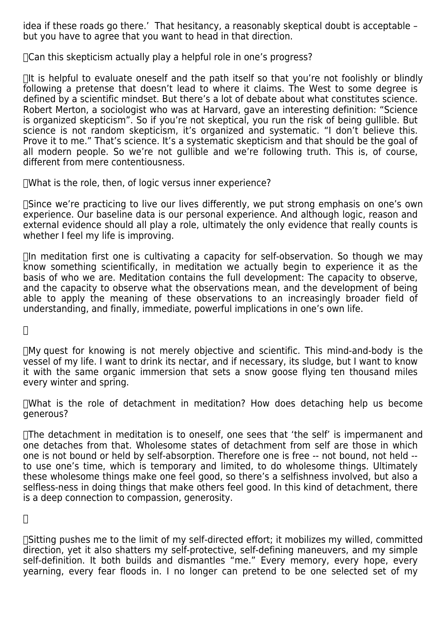idea if these roads go there.' That hesitancy, a reasonably skeptical doubt is acceptable – but you have to agree that you want to head in that direction.

 Can this skepticism actually play a helpful role in one's progress?

 $\Box$ It is helpful to evaluate oneself and the path itself so that you're not foolishly or blindly following a pretense that doesn't lead to where it claims. The West to some degree is defined by a scientific mindset. But there's a lot of debate about what constitutes science. Robert Merton, a sociologist who was at Harvard, gave an interesting definition: "Science is organized skepticism". So if you're not skeptical, you run the risk of being gullible. But science is not random skepticism, it's organized and systematic. "I don't believe this. Prove it to me." That's science. It's a systematic skepticism and that should be the goal of all modern people. So we're not gullible and we're following truth. This is, of course, different from mere contentiousness.

 What is the role, then, of logic versus inner experience?

 Since we're practicing to live our lives differently, we put strong emphasis on one's own experience. Our baseline data is our personal experience. And although logic, reason and external evidence should all play a role, ultimately the only evidence that really counts is whether I feel my life is improving.

 $\Box$ In meditation first one is cultivating a capacity for self-observation. So though we may know something scientifically, in meditation we actually begin to experience it as the basis of who we are. Meditation contains the full development: The capacity to observe, and the capacity to observe what the observations mean, and the development of being able to apply the meaning of these observations to an increasingly broader field of understanding, and finally, immediate, powerful implications in one's own life.

 $\Box$ 

 $\Box$ My quest for knowing is not merely objective and scientific. This mind-and-body is the vessel of my life. I want to drink its nectar, and if necessary, its sludge, but I want to know it with the same organic immersion that sets a snow goose flying ten thousand miles every winter and spring.

 What is the role of detachment in meditation? How does detaching help us become generous?

 The detachment in meditation is to oneself, one sees that 'the self' is impermanent and one detaches from that. Wholesome states of detachment from self are those in which one is not bound or held by self-absorption. Therefore one is free -- not bound, not held - to use one's time, which is temporary and limited, to do wholesome things. Ultimately these wholesome things make one feel good, so there's a selfishness involved, but also a selfless-ness in doing things that make others feel good. In this kind of detachment, there is a deep connection to compassion, generosity.

 $\Box$ 

 Sitting pushes me to the limit of my self-directed effort; it mobilizes my willed, committed direction, yet it also shatters my self-protective, self-defining maneuvers, and my simple self-definition. It both builds and dismantles "me." Every memory, every hope, every yearning, every fear floods in. I no longer can pretend to be one selected set of my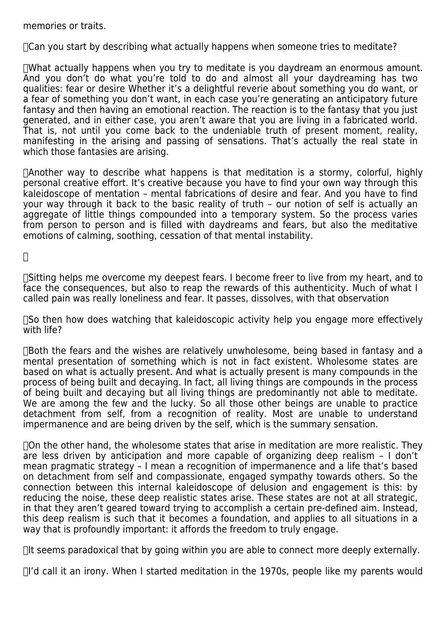memories or traits.

 Can you start by describing what actually happens when someone tries to meditate?

 What actually happens when you try to meditate is you daydream an enormous amount. And you don't do what you're told to do and almost all your daydreaming has two qualities: fear or desire Whether it's a delightful reverie about something you do want, or a fear of something you don't want, in each case you're generating an anticipatory future fantasy and then having an emotional reaction. The reaction is to the fantasy that you just generated, and in either case, you aren't aware that you are living in a fabricated world. That is, not until you come back to the undeniable truth of present moment, reality, manifesting in the arising and passing of sensations. That's actually the real state in which those fantasies are arising.

 Another way to describe what happens is that meditation is a stormy, colorful, highly personal creative effort. It's creative because you have to find your own way through this kaleidoscope of mentation – mental fabrications of desire and fear. And you have to find your way through it back to the basic reality of truth – our notion of self is actually an aggregate of little things compounded into a temporary system. So the process varies from person to person and is filled with daydreams and fears, but also the meditative emotions of calming, soothing, cessation of that mental instability.

 $\Box$ 

 Sitting helps me overcome my deepest fears. I become freer to live from my heart, and to face the consequences, but also to reap the rewards of this authenticity. Much of what I called pain was really loneliness and fear. It passes, dissolves, with that observation

 So then how does watching that kaleidoscopic activity help you engage more effectively with life?

 $\Box$ Both the fears and the wishes are relatively unwholesome, being based in fantasy and a mental presentation of something which is not in fact existent. Wholesome states are based on what is actually present. And what is actually present is many compounds in the process of being built and decaying. In fact, all living things are compounds in the process of being built and decaying but all living things are predominantly not able to meditate. We are among the few and the lucky. So all those other beings are unable to practice detachment from self, from a recognition of reality. Most are unable to understand impermanence and are being driven by the self, which is the summary sensation.

 On the other hand, the wholesome states that arise in meditation are more realistic. They are less driven by anticipation and more capable of organizing deep realism – I don't mean pragmatic strategy – I mean a recognition of impermanence and a life that's based on detachment from self and compassionate, engaged sympathy towards others. So the connection between this internal kaleidoscope of delusion and engagement is this: by reducing the noise, these deep realistic states arise. These states are not at all strategic, in that they aren't geared toward trying to accomplish a certain pre-defined aim. Instead, this deep realism is such that it becomes a foundation, and applies to all situations in a way that is profoundly important: it affords the freedom to truly engage.

 $\Box$ It seems paradoxical that by going within you are able to connect more deeply externally.

 $\Box$ 'd call it an irony. When I started meditation in the 1970s, people like my parents would